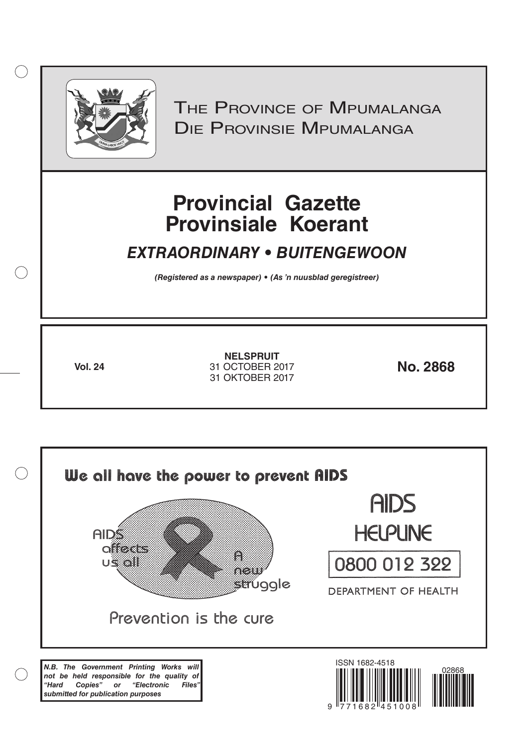

 $( )$ 

THE PROVINCE OF MPUMALANGA Die Provinsie Mpumalanga

# **Provincial Gazette Provinsiale Koerant**

# *EXTRAORDINARY • BUITENGEWOON*

*(Registered as a newspaper) • (As 'n nuusblad geregistreer)*

**Vol. 24 No. 2868** 31 OCTOBER 2017 **NELSPRUIT** 31 OKTOBER 2017

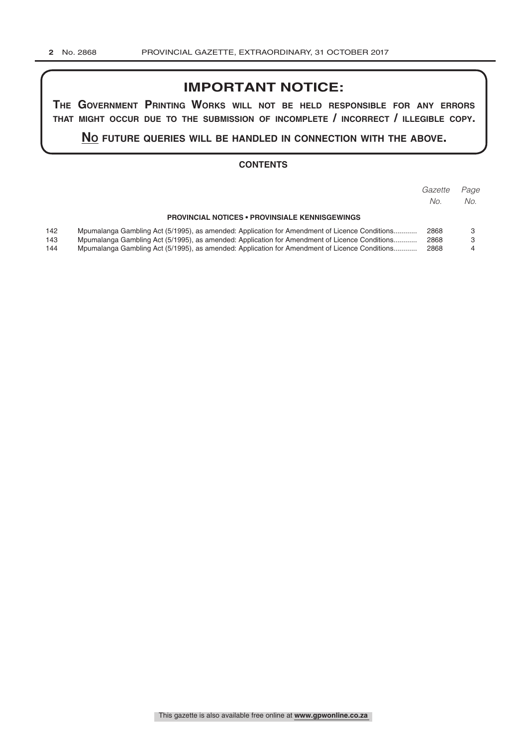## **IMPORTANT NOTICE:**

**The GovernmenT PrinTinG Works Will noT be held resPonsible for any errors ThaT miGhT occur due To The submission of incomPleTe / incorrecT / illeGible coPy.**

**no fuTure queries Will be handled in connecTion WiTh The above.**

#### **CONTENTS**

|                                                       |                                                                                               | Gazette | Page |
|-------------------------------------------------------|-----------------------------------------------------------------------------------------------|---------|------|
|                                                       |                                                                                               | No.     | No.  |
| <b>PROVINCIAL NOTICES • PROVINSIALE KENNISGEWINGS</b> |                                                                                               |         |      |
| 142                                                   | Mpumalanga Gambling Act (5/1995), as amended: Application for Amendment of Licence Conditions | 2868    |      |
| 143                                                   | Mpumalanga Gambling Act (5/1995), as amended: Application for Amendment of Licence Conditions | 2868    |      |
| 144                                                   | Mpumalanga Gambling Act (5/1995), as amended: Application for Amendment of Licence Conditions | 2868    |      |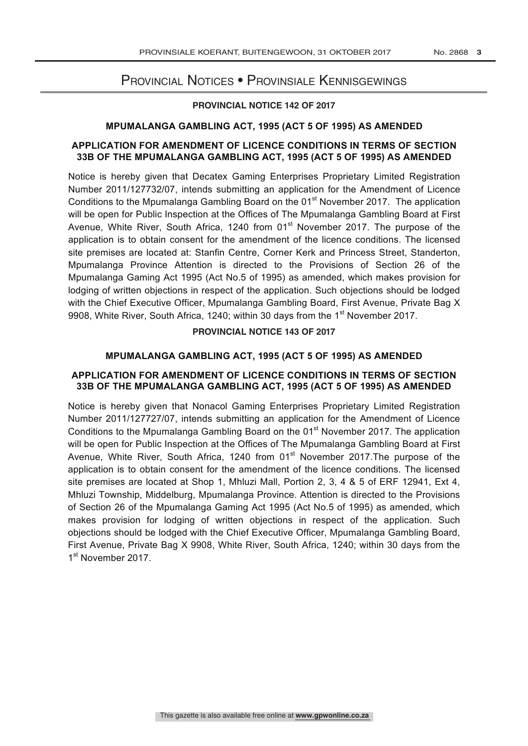### Provincial Notices • Provinsiale Kennisgewings

#### **PROVINCIAL NOTICE 142 OF 2017**

#### **MPUMALANGA GAMBLING ACT, 1995 (ACT 5 OF 1995) AS AMENDED**

#### **APPLICATION FOR AMENDMENT OF LICENCE CONDITIONS IN TERMS OF SECTION 33B OF THE MPUMALANGA GAMBLING ACT, 1995 (ACT 5 OF 1995) AS AMENDED**

Notice is hereby given that Decatex Gaming Enterprises Proprietary Limited Registration Number 2011/127732/07, intends submitting an application for the Amendment of Licence Conditions to the Mpumalanga Gambling Board on the 01<sup>st</sup> November 2017. The application will be open for Public Inspection at the Offices of The Mpumalanga Gambling Board at First Avenue, White River, South Africa, 1240 from 01<sup>st</sup> November 2017. The purpose of the application is to obtain consent for the amendment of the licence conditions. The licensed site premises are located at: Stanfin Centre, Corner Kerk and Princess Street, Standerton, Mpumalanga Province Attention is directed to the Provisions of Section 26 of the Mpumalanga Gaming Act 1995 (Act No.5 of 1995) as amended, which makes provision for lodging of written objections in respect of the application. Such objections should be lodged with the Chief Executive Officer, Mpumalanga Gambling Board, First Avenue, Private Bag X 9908, White River, South Africa, 1240; within 30 days from the 1<sup>st</sup> November 2017.

#### **PROVINCIAL NOTICE 143 OF 2017**

#### **MPUMALANGA GAMBLING ACT, 1995 (ACT 5 OF 1995) AS AMENDED**

#### **APPLICATION FOR AMENDMENT OF LICENCE CONDITIONS IN TERMS OF SECTION 33B OF THE MPUMALANGA GAMBLING ACT, 1995 (ACT 5 OF 1995) AS AMENDED**

Notice is hereby given that Nonacol Gaming Enterprises Proprietary Limited Registration Number 2011/127727/07, intends submitting an application for the Amendment of Licence Conditions to the Mpumalanga Gambling Board on the  $01<sup>st</sup>$  November 2017. The application will be open for Public Inspection at the Offices of The Mpumalanga Gambling Board at First Avenue, White River, South Africa, 1240 from 01<sup>st</sup> November 2017. The purpose of the application is to obtain consent for the amendment of the licence conditions. The licensed site premises are located at Shop 1, Mhluzi Mall, Portion 2, 3, 4 & 5 of ERF 12941, Ext 4, Mhluzi Township, Middelburg, Mpumalanga Province. Attention is directed to the Provisions of Section 26 of the Mpumalanga Gaming Act 1995 (Act No.5 of 1995) as amended, which makes provision for lodging of written objections in respect of the application. Such objections should be lodged with the Chief Executive Officer, Mpumalanga Gambling Board, First Avenue, Private Bag X 9908, White River, South Africa, 1240; within 30 days from the 1<sup>st</sup> November 2017.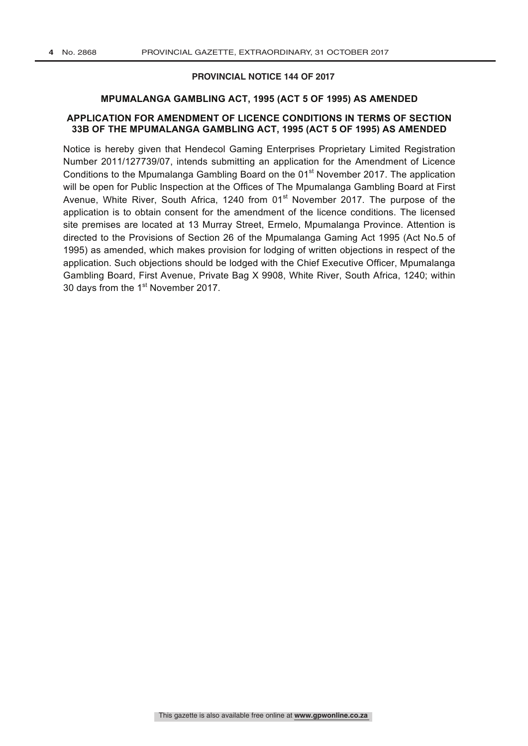#### **PROVINCIAL NOTICE 144 OF 2017**

#### **MPUMALANGA GAMBLING ACT, 1995 (ACT 5 OF 1995) AS AMENDED**

#### **APPLICATION FOR AMENDMENT OF LICENCE CONDITIONS IN TERMS OF SECTION 33B OF THE MPUMALANGA GAMBLING ACT, 1995 (ACT 5 OF 1995) AS AMENDED**

Notice is hereby given that Hendecol Gaming Enterprises Proprietary Limited Registration Number 2011/127739/07, intends submitting an application for the Amendment of Licence Conditions to the Mpumalanga Gambling Board on the  $01<sup>st</sup>$  November 2017. The application will be open for Public Inspection at the Offices of The Mpumalanga Gambling Board at First Avenue, White River, South Africa, 1240 from 01<sup>st</sup> November 2017. The purpose of the application is to obtain consent for the amendment of the licence conditions. The licensed site premises are located at 13 Murray Street, Ermelo, Mpumalanga Province. Attention is directed to the Provisions of Section 26 of the Mpumalanga Gaming Act 1995 (Act No.5 of 1995) as amended, which makes provision for lodging of written objections in respect of the application. Such objections should be lodged with the Chief Executive Officer, Mpumalanga Gambling Board, First Avenue, Private Bag X 9908, White River, South Africa, 1240; within 30 days from the 1<sup>st</sup> November 2017.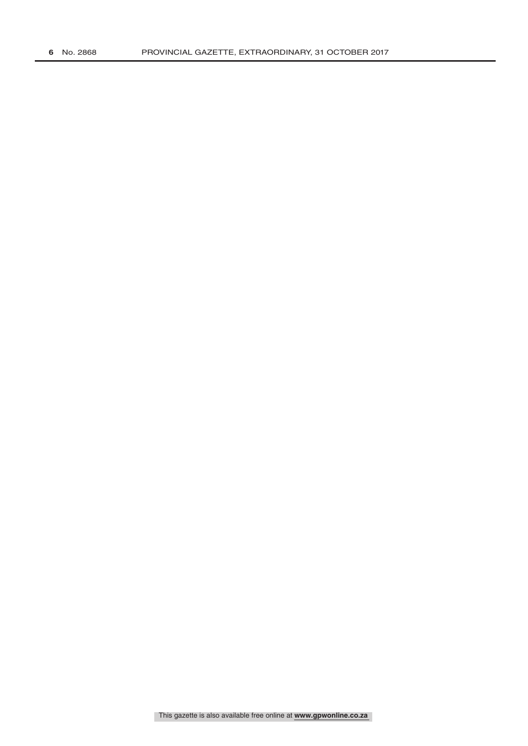This gazette is also available free online at **www.gpwonline.co.za**